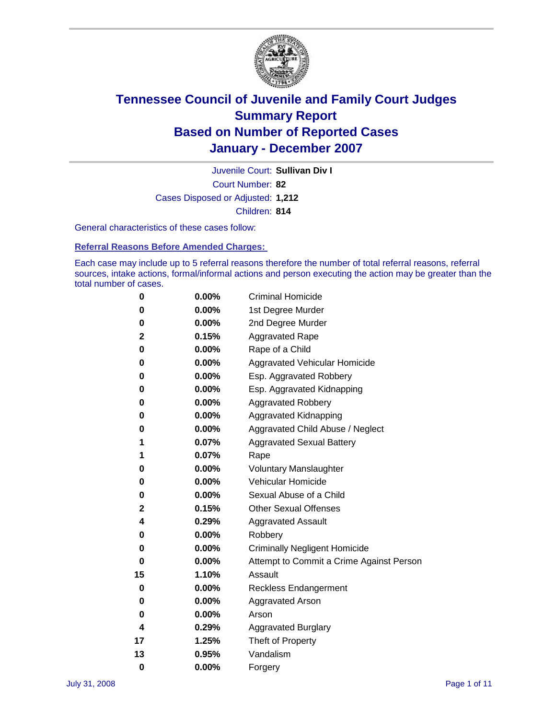

Court Number: **82** Juvenile Court: **Sullivan Div I** Cases Disposed or Adjusted: **1,212** Children: **814**

General characteristics of these cases follow:

**Referral Reasons Before Amended Charges:** 

Each case may include up to 5 referral reasons therefore the number of total referral reasons, referral sources, intake actions, formal/informal actions and person executing the action may be greater than the total number of cases.

| 0  | 0.00%    | <b>Criminal Homicide</b>                 |  |  |  |
|----|----------|------------------------------------------|--|--|--|
| 0  | 0.00%    | 1st Degree Murder                        |  |  |  |
| 0  | $0.00\%$ | 2nd Degree Murder                        |  |  |  |
| 2  | 0.15%    | <b>Aggravated Rape</b>                   |  |  |  |
| 0  | 0.00%    | Rape of a Child                          |  |  |  |
| 0  | 0.00%    | Aggravated Vehicular Homicide            |  |  |  |
| 0  | 0.00%    | Esp. Aggravated Robbery                  |  |  |  |
| 0  | 0.00%    | Esp. Aggravated Kidnapping               |  |  |  |
| 0  | 0.00%    | <b>Aggravated Robbery</b>                |  |  |  |
| 0  | 0.00%    | Aggravated Kidnapping                    |  |  |  |
| 0  | 0.00%    | Aggravated Child Abuse / Neglect         |  |  |  |
| 1  | 0.07%    | <b>Aggravated Sexual Battery</b>         |  |  |  |
| 1  | 0.07%    | Rape                                     |  |  |  |
| 0  | 0.00%    | <b>Voluntary Manslaughter</b>            |  |  |  |
| 0  | 0.00%    | Vehicular Homicide                       |  |  |  |
| 0  | 0.00%    | Sexual Abuse of a Child                  |  |  |  |
| 2  | 0.15%    | <b>Other Sexual Offenses</b>             |  |  |  |
| 4  | 0.29%    | <b>Aggravated Assault</b>                |  |  |  |
| 0  | $0.00\%$ | Robbery                                  |  |  |  |
| 0  | 0.00%    | <b>Criminally Negligent Homicide</b>     |  |  |  |
| 0  | 0.00%    | Attempt to Commit a Crime Against Person |  |  |  |
| 15 | 1.10%    | Assault                                  |  |  |  |
| 0  | 0.00%    | <b>Reckless Endangerment</b>             |  |  |  |
| 0  | 0.00%    | <b>Aggravated Arson</b>                  |  |  |  |
| 0  | 0.00%    | Arson                                    |  |  |  |
| 4  | 0.29%    | <b>Aggravated Burglary</b>               |  |  |  |
| 17 | 1.25%    | Theft of Property                        |  |  |  |
| 13 | 0.95%    | Vandalism                                |  |  |  |
| 0  | 0.00%    | Forgery                                  |  |  |  |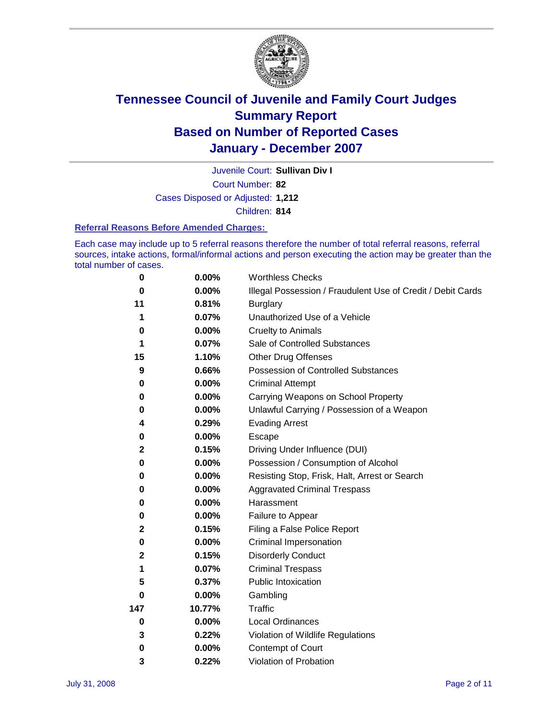

Court Number: **82** Juvenile Court: **Sullivan Div I** Cases Disposed or Adjusted: **1,212** Children: **814**

#### **Referral Reasons Before Amended Charges:**

Each case may include up to 5 referral reasons therefore the number of total referral reasons, referral sources, intake actions, formal/informal actions and person executing the action may be greater than the total number of cases.

| 0           | 0.00%    | <b>Worthless Checks</b>                                     |  |  |
|-------------|----------|-------------------------------------------------------------|--|--|
| 0           | $0.00\%$ | Illegal Possession / Fraudulent Use of Credit / Debit Cards |  |  |
| 11          | 0.81%    | <b>Burglary</b>                                             |  |  |
| 1           | 0.07%    | Unauthorized Use of a Vehicle                               |  |  |
| 0           | 0.00%    | <b>Cruelty to Animals</b>                                   |  |  |
| 1           | 0.07%    | Sale of Controlled Substances                               |  |  |
| 15          | 1.10%    | <b>Other Drug Offenses</b>                                  |  |  |
| 9           | 0.66%    | Possession of Controlled Substances                         |  |  |
| 0           | $0.00\%$ | <b>Criminal Attempt</b>                                     |  |  |
| 0           | 0.00%    | Carrying Weapons on School Property                         |  |  |
| 0           | 0.00%    | Unlawful Carrying / Possession of a Weapon                  |  |  |
| 4           | 0.29%    | <b>Evading Arrest</b>                                       |  |  |
| 0           | 0.00%    | Escape                                                      |  |  |
| $\mathbf 2$ | 0.15%    | Driving Under Influence (DUI)                               |  |  |
| 0           | 0.00%    | Possession / Consumption of Alcohol                         |  |  |
| 0           | 0.00%    | Resisting Stop, Frisk, Halt, Arrest or Search               |  |  |
| 0           | 0.00%    | <b>Aggravated Criminal Trespass</b>                         |  |  |
| 0           | 0.00%    | Harassment                                                  |  |  |
| 0           | 0.00%    | Failure to Appear                                           |  |  |
| $\mathbf 2$ | 0.15%    | Filing a False Police Report                                |  |  |
| 0           | 0.00%    | Criminal Impersonation                                      |  |  |
| 2           | 0.15%    | <b>Disorderly Conduct</b>                                   |  |  |
| 1           | 0.07%    | <b>Criminal Trespass</b>                                    |  |  |
| 5           | 0.37%    | Public Intoxication                                         |  |  |
| 0           | 0.00%    | Gambling                                                    |  |  |
| 147         | 10.77%   | Traffic                                                     |  |  |
| 0           | 0.00%    | Local Ordinances                                            |  |  |
| 3           | 0.22%    | Violation of Wildlife Regulations                           |  |  |
| $\bf{0}$    | 0.00%    | Contempt of Court                                           |  |  |
| 3           | 0.22%    | Violation of Probation                                      |  |  |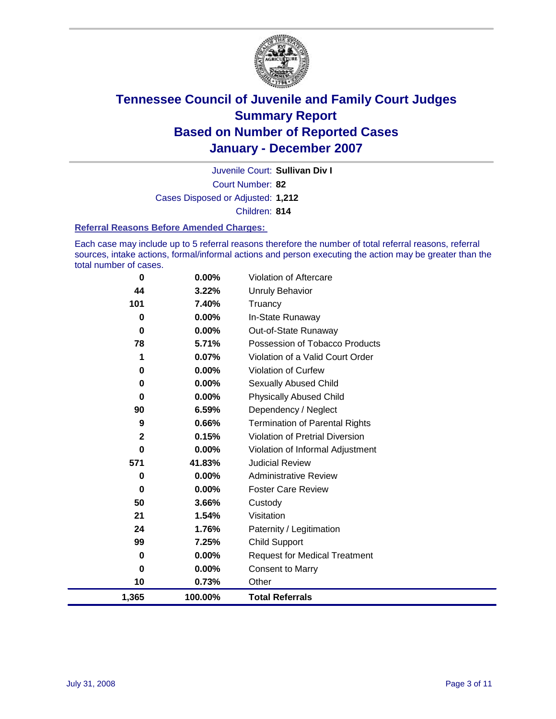

Court Number: **82** Juvenile Court: **Sullivan Div I** Cases Disposed or Adjusted: **1,212** Children: **814**

#### **Referral Reasons Before Amended Charges:**

Each case may include up to 5 referral reasons therefore the number of total referral reasons, referral sources, intake actions, formal/informal actions and person executing the action may be greater than the total number of cases.

| 1,365       | 100.00%  | <b>Total Referrals</b>                 |
|-------------|----------|----------------------------------------|
| 10          | 0.73%    | Other                                  |
| 0           | 0.00%    | <b>Consent to Marry</b>                |
| 0           | 0.00%    | <b>Request for Medical Treatment</b>   |
| 99          | 7.25%    | Child Support                          |
| 24          | 1.76%    | Paternity / Legitimation               |
| 21          | 1.54%    | Visitation                             |
| 50          | 3.66%    | Custody                                |
| 0           | $0.00\%$ | <b>Foster Care Review</b>              |
| 0           | $0.00\%$ | <b>Administrative Review</b>           |
| 571         | 41.83%   | <b>Judicial Review</b>                 |
| 0           | 0.00%    | Violation of Informal Adjustment       |
| $\mathbf 2$ | 0.15%    | <b>Violation of Pretrial Diversion</b> |
| 9           | 0.66%    | <b>Termination of Parental Rights</b>  |
| 90          | 6.59%    | Dependency / Neglect                   |
| $\bf{0}$    | $0.00\%$ | <b>Physically Abused Child</b>         |
| 0           | 0.00%    | <b>Sexually Abused Child</b>           |
| 0           | 0.00%    | Violation of Curfew                    |
| 1           | 0.07%    | Violation of a Valid Court Order       |
| 78          | 5.71%    | Possession of Tobacco Products         |
| $\bf{0}$    | $0.00\%$ | Out-of-State Runaway                   |
| 0           | 0.00%    | In-State Runaway                       |
| 101         | 7.40%    | Truancy                                |
| 44          | 3.22%    | <b>Unruly Behavior</b>                 |
| 0           | 0.00%    | Violation of Aftercare                 |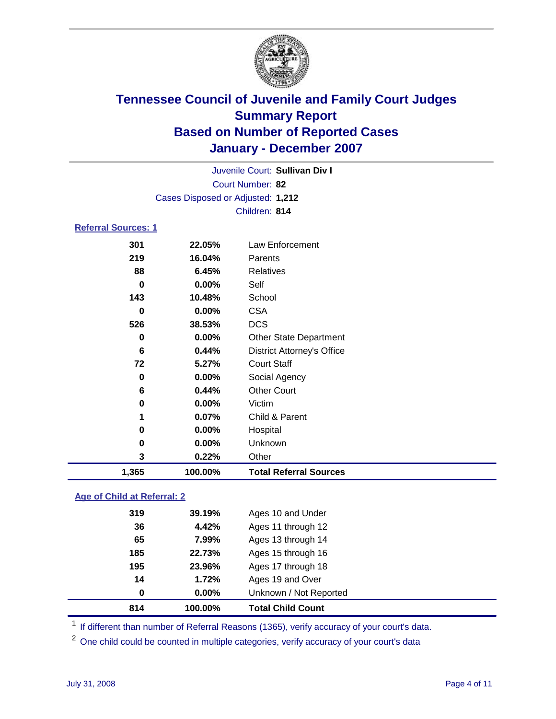

Court Number: **82** Juvenile Court: **Sullivan Div I** Cases Disposed or Adjusted: **1,212** Children: **814**

### **Referral Sources: 1**

| 1,365 | 100.00% | <b>Total Referral Sources</b>     |
|-------|---------|-----------------------------------|
| 3     | 0.22%   | Other                             |
| 0     | 0.00%   | Unknown                           |
| 0     | 0.00%   | Hospital                          |
| 1     | 0.07%   | Child & Parent                    |
| 0     | 0.00%   | Victim                            |
| 6     | 0.44%   | <b>Other Court</b>                |
| 0     | 0.00%   | Social Agency                     |
| 72    | 5.27%   | <b>Court Staff</b>                |
| 6     | 0.44%   | <b>District Attorney's Office</b> |
| 0     | 0.00%   | <b>Other State Department</b>     |
| 526   | 38.53%  | <b>DCS</b>                        |
| 0     | 0.00%   | <b>CSA</b>                        |
| 143   | 10.48%  | School                            |
| 0     | 0.00%   | Self                              |
| 88    | 6.45%   | <b>Relatives</b>                  |
| 219   | 16.04%  | Parents                           |
| 301   | 22.05%  | Law Enforcement                   |
|       |         |                                   |

### **Age of Child at Referral: 2**

| 814 | 100.00%  | <b>Total Child Count</b> |
|-----|----------|--------------------------|
| 0   | $0.00\%$ | Unknown / Not Reported   |
| 14  | 1.72%    | Ages 19 and Over         |
| 195 | 23.96%   | Ages 17 through 18       |
| 185 | 22.73%   | Ages 15 through 16       |
| 65  | 7.99%    | Ages 13 through 14       |
| 36  | 4.42%    | Ages 11 through 12       |
| 319 | 39.19%   | Ages 10 and Under        |
|     |          |                          |

<sup>1</sup> If different than number of Referral Reasons (1365), verify accuracy of your court's data.

<sup>2</sup> One child could be counted in multiple categories, verify accuracy of your court's data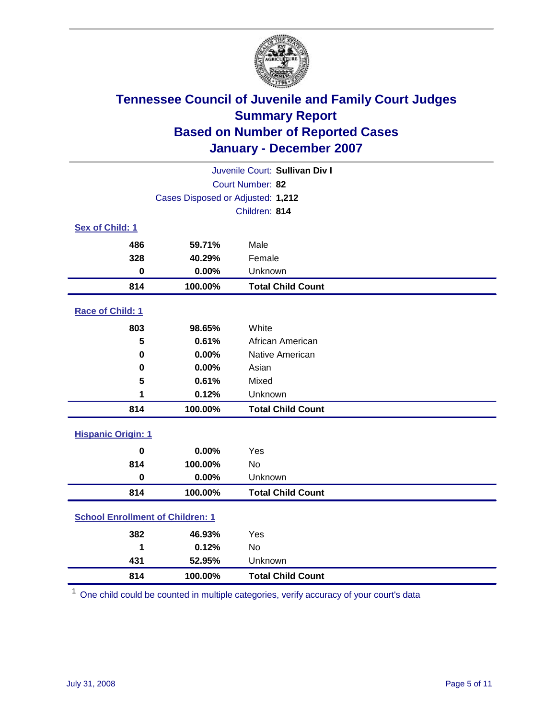

| Juvenile Court: Sullivan Div I          |                                   |                          |  |  |
|-----------------------------------------|-----------------------------------|--------------------------|--|--|
|                                         | Court Number: 82                  |                          |  |  |
|                                         | Cases Disposed or Adjusted: 1,212 |                          |  |  |
|                                         |                                   | Children: 814            |  |  |
| Sex of Child: 1                         |                                   |                          |  |  |
| 486                                     | 59.71%                            | Male                     |  |  |
| 328                                     | 40.29%                            | Female                   |  |  |
| $\bf{0}$                                | 0.00%                             | Unknown                  |  |  |
| 814                                     | 100.00%                           | <b>Total Child Count</b> |  |  |
| Race of Child: 1                        |                                   |                          |  |  |
| 803                                     | 98.65%                            | White                    |  |  |
| 5                                       | 0.61%                             | African American         |  |  |
| $\bf{0}$                                | 0.00%                             | Native American          |  |  |
| 0                                       | 0.00%                             | Asian                    |  |  |
| 5                                       | 0.61%                             | Mixed                    |  |  |
| 1                                       | 0.12%                             | Unknown                  |  |  |
| 814                                     | 100.00%                           | <b>Total Child Count</b> |  |  |
| <b>Hispanic Origin: 1</b>               |                                   |                          |  |  |
| $\bf{0}$                                | 0.00%                             | Yes                      |  |  |
| 814                                     | 100.00%                           | <b>No</b>                |  |  |
| $\bf{0}$                                | 0.00%                             | Unknown                  |  |  |
| 814                                     | 100.00%                           | <b>Total Child Count</b> |  |  |
| <b>School Enrollment of Children: 1</b> |                                   |                          |  |  |
| 382                                     | 46.93%                            | Yes                      |  |  |
| 1                                       | 0.12%                             | <b>No</b>                |  |  |
| 431                                     | 52.95%                            | Unknown                  |  |  |
| 814                                     | 100.00%                           | <b>Total Child Count</b> |  |  |

One child could be counted in multiple categories, verify accuracy of your court's data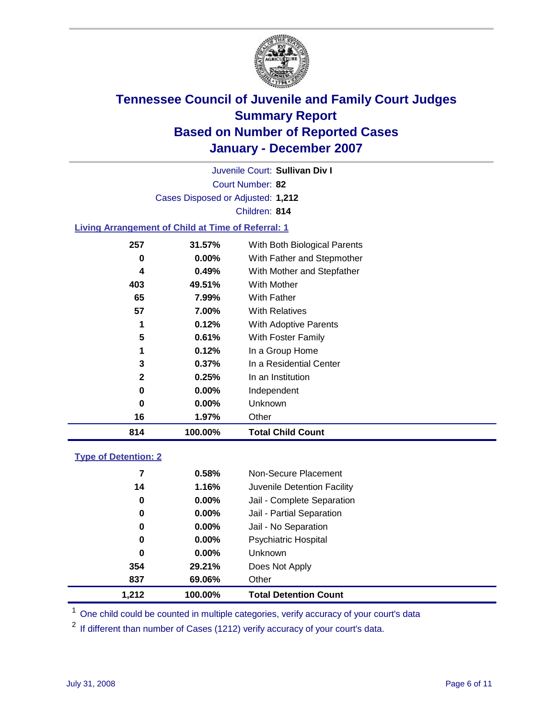

Court Number: **82** Juvenile Court: **Sullivan Div I** Cases Disposed or Adjusted: **1,212** Children: **814**

#### **Living Arrangement of Child at Time of Referral: 1**

| 814          | 100.00%  | <b>Total Child Count</b>     |
|--------------|----------|------------------------------|
| 16           | 1.97%    | Other                        |
| 0            | $0.00\%$ | Unknown                      |
| 0            | 0.00%    | Independent                  |
| $\mathbf{2}$ | 0.25%    | In an Institution            |
| 3            | $0.37\%$ | In a Residential Center      |
| 1            | 0.12%    | In a Group Home              |
| 5            | 0.61%    | With Foster Family           |
| 1            | 0.12%    | With Adoptive Parents        |
| 57           | 7.00%    | <b>With Relatives</b>        |
| 65           | 7.99%    | <b>With Father</b>           |
| 403          | 49.51%   | With Mother                  |
| 4            | 0.49%    | With Mother and Stepfather   |
| 0            | $0.00\%$ | With Father and Stepmother   |
| 257          | 31.57%   | With Both Biological Parents |

#### **Type of Detention: 2**

| 1,212 | 100.00%  | <b>Total Detention Count</b> |  |
|-------|----------|------------------------------|--|
| 837   | 69.06%   | Other                        |  |
| 354   | 29.21%   | Does Not Apply               |  |
| 0     | $0.00\%$ | <b>Unknown</b>               |  |
| 0     | 0.00%    | Psychiatric Hospital         |  |
| 0     | 0.00%    | Jail - No Separation         |  |
| 0     | $0.00\%$ | Jail - Partial Separation    |  |
| 0     | $0.00\%$ | Jail - Complete Separation   |  |
| 14    | 1.16%    | Juvenile Detention Facility  |  |
| 7     | 0.58%    | Non-Secure Placement         |  |
|       |          |                              |  |

<sup>1</sup> One child could be counted in multiple categories, verify accuracy of your court's data

<sup>2</sup> If different than number of Cases (1212) verify accuracy of your court's data.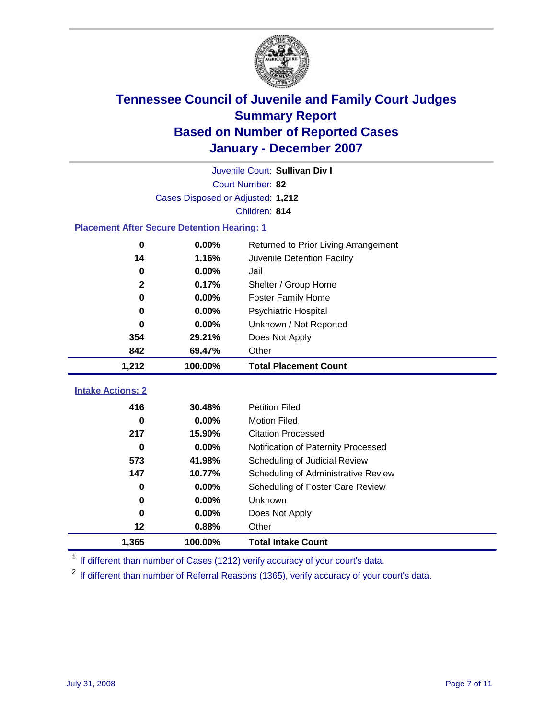

|                                                    | Juvenile Court: Sullivan Div I    |                                      |  |  |  |  |
|----------------------------------------------------|-----------------------------------|--------------------------------------|--|--|--|--|
|                                                    | Court Number: 82                  |                                      |  |  |  |  |
|                                                    | Cases Disposed or Adjusted: 1,212 |                                      |  |  |  |  |
|                                                    | Children: 814                     |                                      |  |  |  |  |
| <b>Placement After Secure Detention Hearing: 1</b> |                                   |                                      |  |  |  |  |
| $\bf{0}$                                           | 0.00%                             | Returned to Prior Living Arrangement |  |  |  |  |
| 14                                                 | 1.16%                             | Juvenile Detention Facility          |  |  |  |  |
| 0                                                  | 0.00%                             | Jail                                 |  |  |  |  |
| $\mathbf{2}$                                       | 0.17%                             | Shelter / Group Home                 |  |  |  |  |
| $\bf{0}$                                           | 0.00%                             | <b>Foster Family Home</b>            |  |  |  |  |
| 0                                                  | 0.00%                             | <b>Psychiatric Hospital</b>          |  |  |  |  |
| 0                                                  | 0.00%                             | Unknown / Not Reported               |  |  |  |  |
| 354                                                | 29.21%                            | Does Not Apply                       |  |  |  |  |
| 842                                                | 69.47%                            | Other                                |  |  |  |  |
| 1,212                                              | 100.00%                           | <b>Total Placement Count</b>         |  |  |  |  |
|                                                    |                                   |                                      |  |  |  |  |
| <b>Intake Actions: 2</b>                           |                                   |                                      |  |  |  |  |
| 416                                                | 30.48%                            | <b>Petition Filed</b>                |  |  |  |  |
| 0                                                  | 0.00%                             | <b>Motion Filed</b>                  |  |  |  |  |
| 217                                                | 15.90%                            | <b>Citation Processed</b>            |  |  |  |  |
| 0                                                  | 0.00%                             | Notification of Paternity Processed  |  |  |  |  |
| 573                                                | 41.98%                            | Scheduling of Judicial Review        |  |  |  |  |
| 147                                                | 10.77%                            | Scheduling of Administrative Review  |  |  |  |  |
| 0                                                  | $0.00\%$                          | Scheduling of Foster Care Review     |  |  |  |  |
| 0                                                  | 0.00%                             | Unknown                              |  |  |  |  |
| $\bf{0}$                                           | 0.00%                             | Does Not Apply                       |  |  |  |  |
| 12                                                 | 0.88%                             | Other                                |  |  |  |  |
| 1,365                                              | 100.00%                           | <b>Total Intake Count</b>            |  |  |  |  |

<sup>1</sup> If different than number of Cases (1212) verify accuracy of your court's data.

<sup>2</sup> If different than number of Referral Reasons (1365), verify accuracy of your court's data.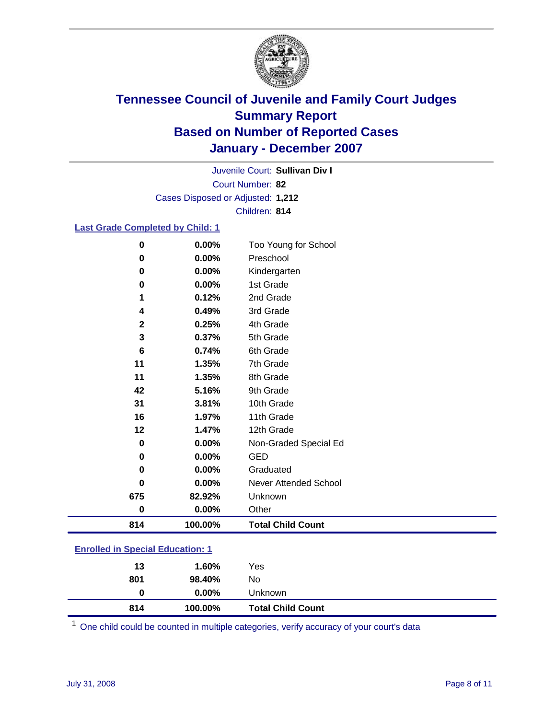

Court Number: **82** Juvenile Court: **Sullivan Div I** Cases Disposed or Adjusted: **1,212** Children: **814**

### **Last Grade Completed by Child: 1**

| 814         | 100.00% | <b>Total Child Count</b> |
|-------------|---------|--------------------------|
| 0           | 0.00%   | Other                    |
| 675         | 82.92%  | Unknown                  |
| 0           | 0.00%   | Never Attended School    |
| 0           | 0.00%   | Graduated                |
| 0           | 0.00%   | <b>GED</b>               |
| 0           | 0.00%   | Non-Graded Special Ed    |
| 12          | 1.47%   | 12th Grade               |
| 16          | 1.97%   | 11th Grade               |
| 31          | 3.81%   | 10th Grade               |
| 42          | 5.16%   | 9th Grade                |
| 11          | 1.35%   | 8th Grade                |
| 11          | 1.35%   | 7th Grade                |
| 6           | 0.74%   | 6th Grade                |
| 3           | 0.37%   | 5th Grade                |
| $\mathbf 2$ | 0.25%   | 4th Grade                |
| 4           | 0.49%   | 3rd Grade                |
| 1           | 0.12%   | 2nd Grade                |
| 0           | 0.00%   | 1st Grade                |
| 0           | 0.00%   | Kindergarten             |
| 0           | 0.00%   | Preschool                |
| 0           | 0.00%   | Too Young for School     |

### **Enrolled in Special Education: 1**

| 814 | 100.00%  | <b>Total Child Count</b> |  |
|-----|----------|--------------------------|--|
| 0   | $0.00\%$ | Unknown                  |  |
| 801 | 98.40%   | No                       |  |
| 13  | 1.60%    | Yes                      |  |
|     |          |                          |  |

<sup>1</sup> One child could be counted in multiple categories, verify accuracy of your court's data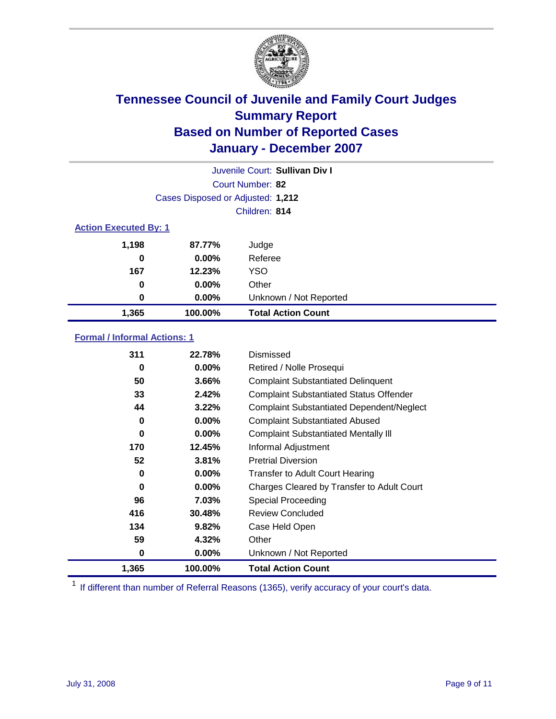

|                              | Juvenile Court: Sullivan Div I    |                           |  |  |
|------------------------------|-----------------------------------|---------------------------|--|--|
|                              | Court Number: 82                  |                           |  |  |
|                              | Cases Disposed or Adjusted: 1,212 |                           |  |  |
|                              |                                   | Children: 814             |  |  |
| <b>Action Executed By: 1</b> |                                   |                           |  |  |
| 1,198                        | 87.77%                            | Judge                     |  |  |
| 0                            | $0.00\%$                          | Referee                   |  |  |
| 167                          | 12.23%                            | <b>YSO</b>                |  |  |
| 0                            | 0.00%                             | Other                     |  |  |
| 0                            | 0.00%                             | Unknown / Not Reported    |  |  |
| 1,365                        | 100.00%                           | <b>Total Action Count</b> |  |  |

### **Formal / Informal Actions: 1**

| 311      | 22.78%   | Dismissed                                        |
|----------|----------|--------------------------------------------------|
| 0        | 0.00%    | Retired / Nolle Prosequi                         |
| 50       | 3.66%    | <b>Complaint Substantiated Delinquent</b>        |
| 33       | 2.42%    | <b>Complaint Substantiated Status Offender</b>   |
| 44       | 3.22%    | <b>Complaint Substantiated Dependent/Neglect</b> |
| 0        | 0.00%    | <b>Complaint Substantiated Abused</b>            |
| $\bf{0}$ | $0.00\%$ | <b>Complaint Substantiated Mentally III</b>      |
| 170      | 12.45%   | Informal Adjustment                              |
| 52       | 3.81%    | <b>Pretrial Diversion</b>                        |
| 0        | 0.00%    | <b>Transfer to Adult Court Hearing</b>           |
| 0        | $0.00\%$ | Charges Cleared by Transfer to Adult Court       |
| 96       | $7.03\%$ | Special Proceeding                               |
| 416      | 30.48%   | <b>Review Concluded</b>                          |
| 134      | 9.82%    | Case Held Open                                   |
| 59       | 4.32%    | Other                                            |
| 0        | 0.00%    | Unknown / Not Reported                           |
| 1,365    | 100.00%  | <b>Total Action Count</b>                        |

<sup>1</sup> If different than number of Referral Reasons (1365), verify accuracy of your court's data.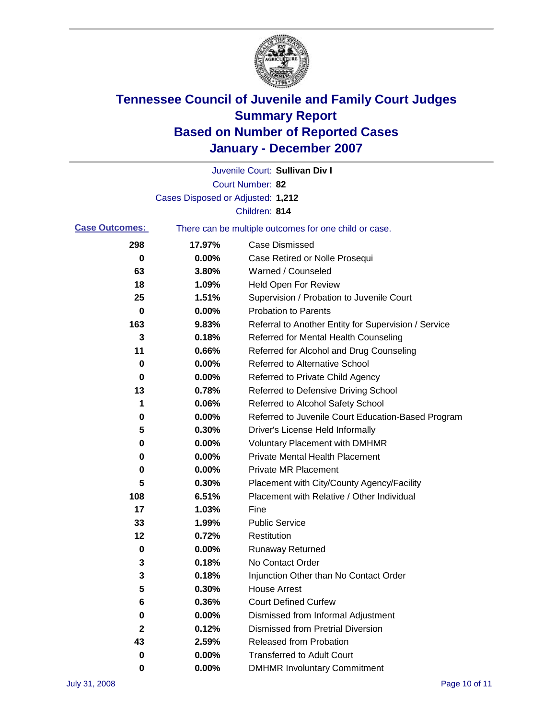

|                       |                                   | Juvenile Court: Sullivan Div I                        |
|-----------------------|-----------------------------------|-------------------------------------------------------|
|                       |                                   | Court Number: 82                                      |
|                       | Cases Disposed or Adjusted: 1,212 |                                                       |
|                       |                                   | Children: 814                                         |
| <b>Case Outcomes:</b> |                                   | There can be multiple outcomes for one child or case. |
| 298                   | 17.97%                            | <b>Case Dismissed</b>                                 |
| 0                     | 0.00%                             | Case Retired or Nolle Prosequi                        |
| 63                    | 3.80%                             | Warned / Counseled                                    |
| 18                    | 1.09%                             | Held Open For Review                                  |
| 25                    | 1.51%                             | Supervision / Probation to Juvenile Court             |
| 0                     | 0.00%                             | <b>Probation to Parents</b>                           |
| 163                   | 9.83%                             | Referral to Another Entity for Supervision / Service  |
| 3                     | 0.18%                             | Referred for Mental Health Counseling                 |
| 11                    | 0.66%                             | Referred for Alcohol and Drug Counseling              |
| 0                     | 0.00%                             | <b>Referred to Alternative School</b>                 |
| 0                     | 0.00%                             | Referred to Private Child Agency                      |
| 13                    | 0.78%                             | Referred to Defensive Driving School                  |
| 1                     | 0.06%                             | Referred to Alcohol Safety School                     |
| 0                     | 0.00%                             | Referred to Juvenile Court Education-Based Program    |
| 5                     | 0.30%                             | Driver's License Held Informally                      |
| 0                     | 0.00%                             | <b>Voluntary Placement with DMHMR</b>                 |
| 0                     | 0.00%                             | <b>Private Mental Health Placement</b>                |
| 0                     | 0.00%                             | <b>Private MR Placement</b>                           |
| 5                     | 0.30%                             | Placement with City/County Agency/Facility            |
| 108                   | 6.51%                             | Placement with Relative / Other Individual            |
| 17                    | 1.03%                             | Fine                                                  |
| 33                    | 1.99%                             | <b>Public Service</b>                                 |
| 12                    | 0.72%                             | Restitution                                           |
| 0                     | 0.00%                             | <b>Runaway Returned</b>                               |
| 3                     | 0.18%                             | No Contact Order                                      |
| 3                     | 0.18%                             | Injunction Other than No Contact Order                |
| 5                     | 0.30%                             | <b>House Arrest</b>                                   |
| 6                     | 0.36%                             | <b>Court Defined Curfew</b>                           |
| 0                     | 0.00%                             | Dismissed from Informal Adjustment                    |
| $\mathbf 2$           | 0.12%                             | <b>Dismissed from Pretrial Diversion</b>              |
| 43                    | 2.59%                             | <b>Released from Probation</b>                        |
| 0                     | 0.00%                             | <b>Transferred to Adult Court</b>                     |
| 0                     | 0.00%                             | <b>DMHMR Involuntary Commitment</b>                   |